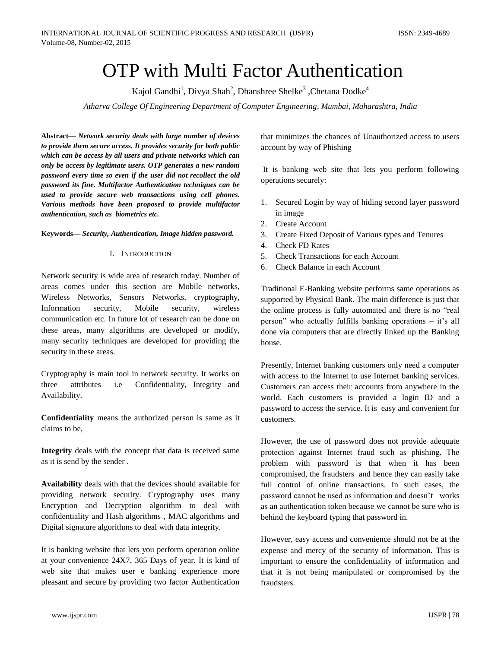# OTP with Multi Factor Authentication

Kajol Gandhi<sup>1</sup>, Divya Shah<sup>2</sup>, Dhanshree Shelke<sup>3</sup>, Chetana Dodke<sup>4</sup>

*Atharva College Of Engineering Department of Computer Engineering, Mumbai, Maharashtra, India*

**Abstract***— Network security deals with large number of devices to provide them secure access. It provides security for both public which can be access by all users and private networks which can only be access by legitimate users. OTP generates a new random password every time so even if the user did not recollect the old password its fine. Multifactor Authentication techniques can be used to provide secure web transactions using cell phones. Various methods have been proposed to provide multifactor authentication, such as biometrics etc.*

### **Keywords***— Security, Authentication, Image hidden password.*

### I. INTRODUCTION

Network security is wide area of research today. Number of areas comes under this section are Mobile networks, Wireless Networks, Sensors Networks, cryptography, Information security, Mobile security, wireless communication etc. In future lot of research can be done on these areas, many algorithms are developed or modify, many security techniques are developed for providing the security in these areas.

Cryptography is main tool in network security. It works on three attributes i.e Confidentiality, Integrity and Availability.

**Confidentiality** means the authorized person is same as it claims to be,

**Integrity** deals with the concept that data is received same as it is send by the sender .

**Availability** deals with that the devices should available for providing network security. Cryptography uses many Encryption and Decryption algorithm to deal with confidentiality and Hash algorithms , MAC algorithms and Digital signature algorithms to deal with data integrity.

It is banking website that lets you perform operation online at your convenience 24X7, 365 Days of year. It is kind of web site that makes user e banking experience more pleasant and secure by providing two factor Authentication that minimizes the chances of Unauthorized access to users account by way of Phishing

It is banking web site that lets you perform following operations securely:

- 1. Secured Login by way of hiding second layer password in image
- 2. Create Account
- 3. Create Fixed Deposit of Various types and Tenures
- 4. Check FD Rates
- 5. Check Transactions for each Account
- 6. Check Balance in each Account

Traditional E-Banking website performs same operations as supported by Physical Bank. The main difference is just that the online process is fully automated and there is no "real person" who actually fulfills banking operations – it's all done via computers that are directly linked up the Banking house.

Presently, Internet banking customers only need a computer with access to the Internet to use Internet banking services. Customers can access their accounts from anywhere in the world. Each customers is provided a login ID and a password to access the service. It is easy and convenient for customers.

However, the use of password does not provide adequate protection against Internet fraud such as phishing. The problem with password is that when it has been compromised, the fraudsters and hence they can easily take full control of online transactions. In such cases, the password cannot be used as information and doesn't works as an authentication token because we cannot be sure who is behind the keyboard typing that password in.

However, easy access and convenience should not be at the expense and mercy of the security of information. This is important to ensure the confidentiality of information and that it is not being manipulated or compromised by the fraudsters.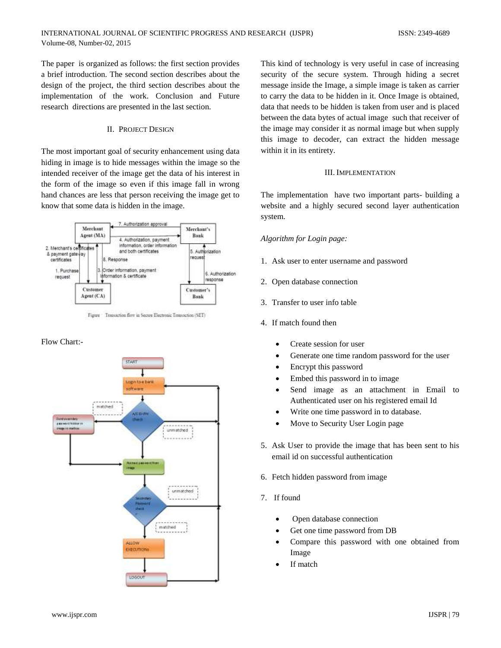The paper is organized as follows: the first section provides a brief introduction. The second section describes about the design of the project, the third section describes about the implementation of the work. Conclusion and Future research directions are presented in the last section.

## II. PROJECT DESIGN

The most important goal of security enhancement using data hiding in image is to hide messages within the image so the intended receiver of the image get the data of his interest in the form of the image so even if this image fall in wrong hand chances are less that person receiving the image get to know that some data is hidden in the image.



Figure Transaction flow in Secure Electronic Transaction (SET)

## Flow Chart:-



This kind of technology is very useful in case of increasing security of the secure system. Through hiding a secret message inside the Image, a simple image is taken as carrier to carry the data to be hidden in it. Once Image is obtained, data that needs to be hidden is taken from user and is placed between the data bytes of actual image such that receiver of the image may consider it as normal image but when supply this image to decoder, can extract the hidden message within it in its entirety.

## III. IMPLEMENTATION

The implementation have two important parts- building a website and a highly secured second layer authentication system.

## *Algorithm for Login page:*

- 1. Ask user to enter username and password
- 2. Open database connection
- 3. Transfer to user info table
- 4. If match found then
	- Create session for user
	- Generate one time random password for the user
	- Encrypt this password
	- Embed this password in to image
	- Send image as an attachment in Email to Authenticated user on his registered email Id
	- Write one time password in to database.
	- Move to Security User Login page
- 5. Ask User to provide the image that has been sent to his email id on successful authentication
- 6. Fetch hidden password from image
- 7. If found
	- Open database connection
	- Get one time password from DB
	- Compare this password with one obtained from Image
	- If match